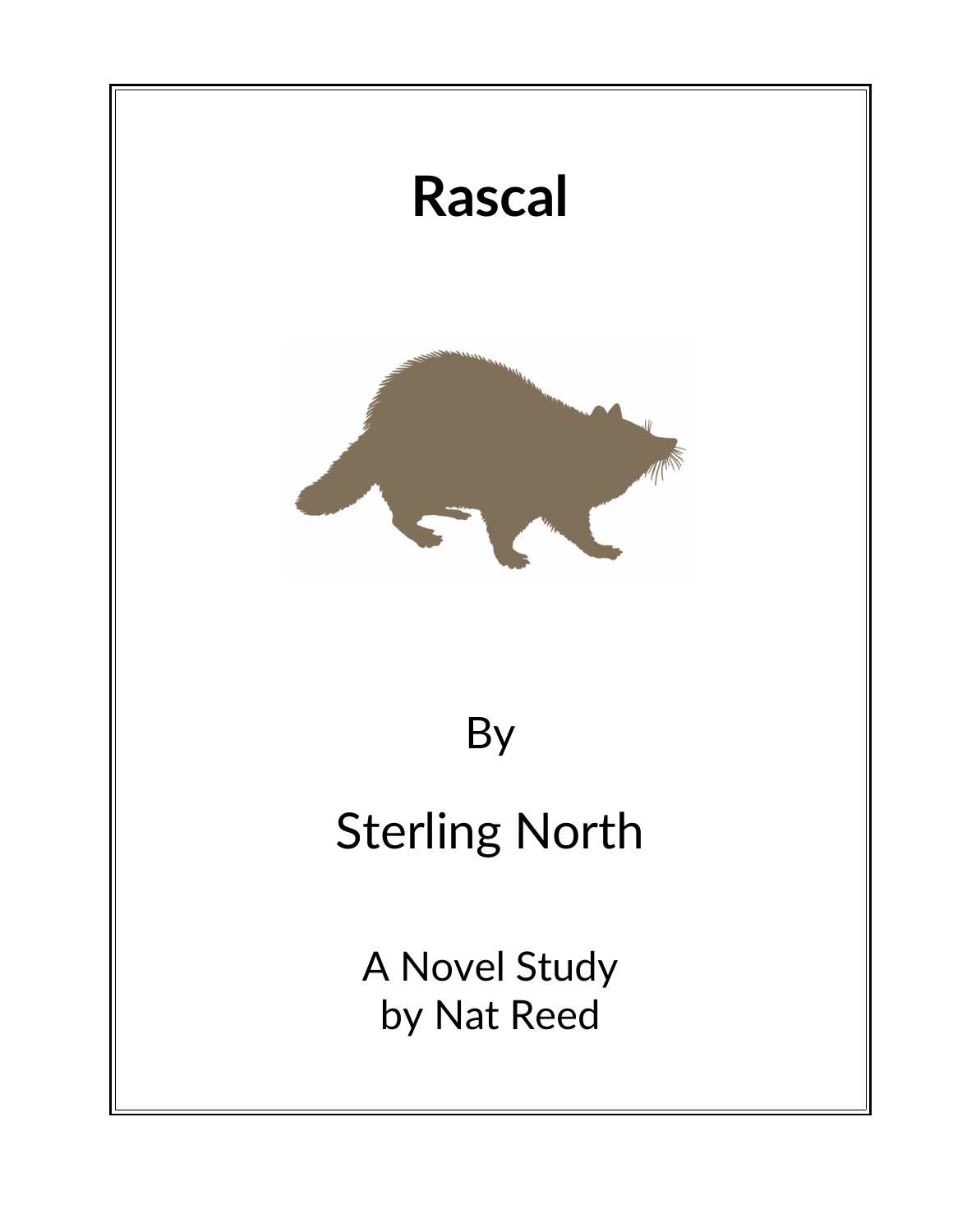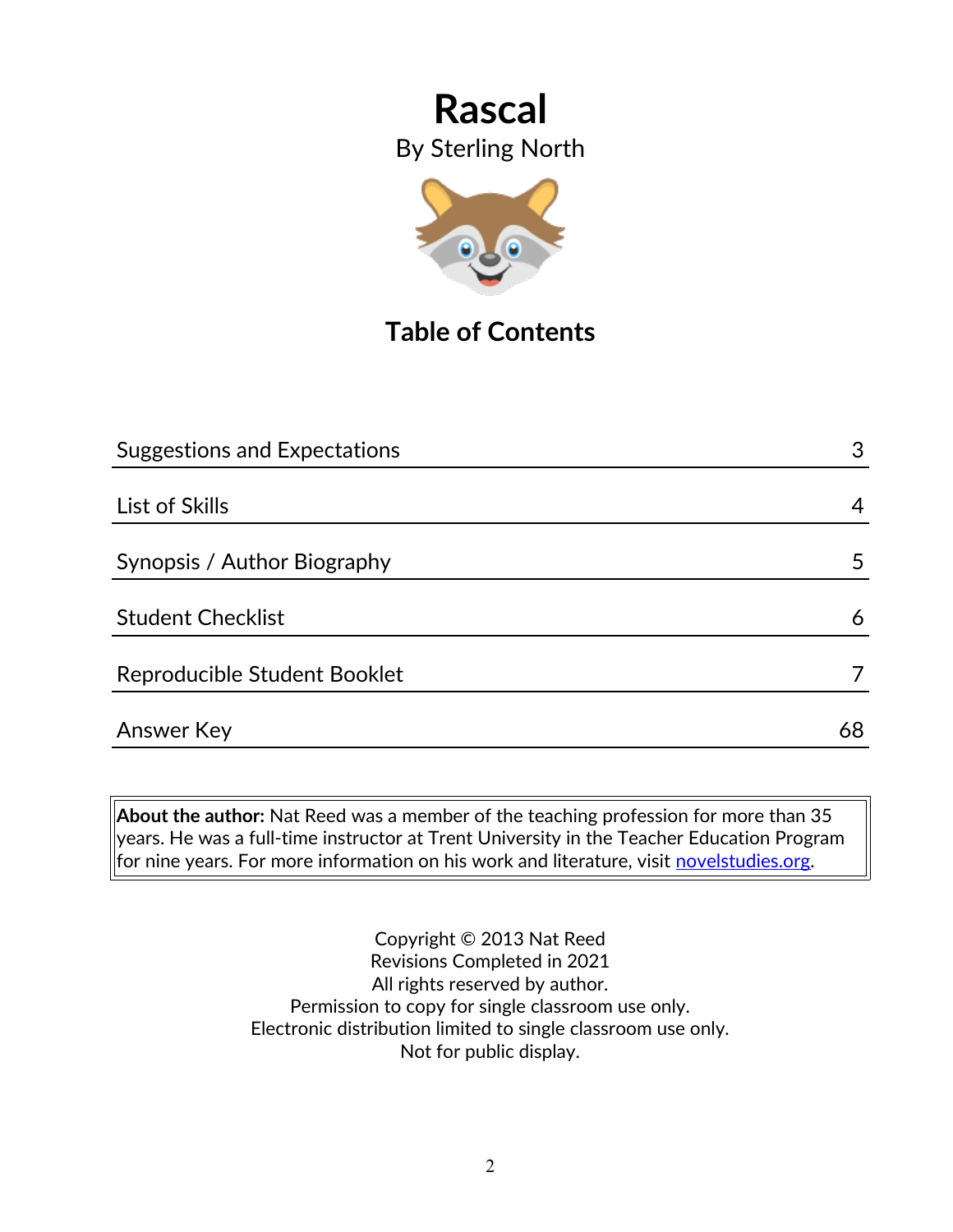

# **Table of Contents**

| <b>Suggestions and Expectations</b> | 3  |
|-------------------------------------|----|
|                                     |    |
| List of Skills                      | 4  |
| Synopsis / Author Biography         | 5  |
| <b>Student Checklist</b>            | 6  |
| Reproducible Student Booklet        |    |
| Answer Key                          | 68 |

**About the author:** Nat Reed was a member of the teaching profession for more than 35 years. He was a full-time instructor at Trent University in the Teacher Education Program for nine years. For more information on his work and literature, visit [novelstudies.org.](http://www.novelstudies.org/)

> Copyright © 2013 Nat Reed Revisions Completed in 2021 All rights reserved by author. Permission to copy for single classroom use only. Electronic distribution limited to single classroom use only. Not for public display.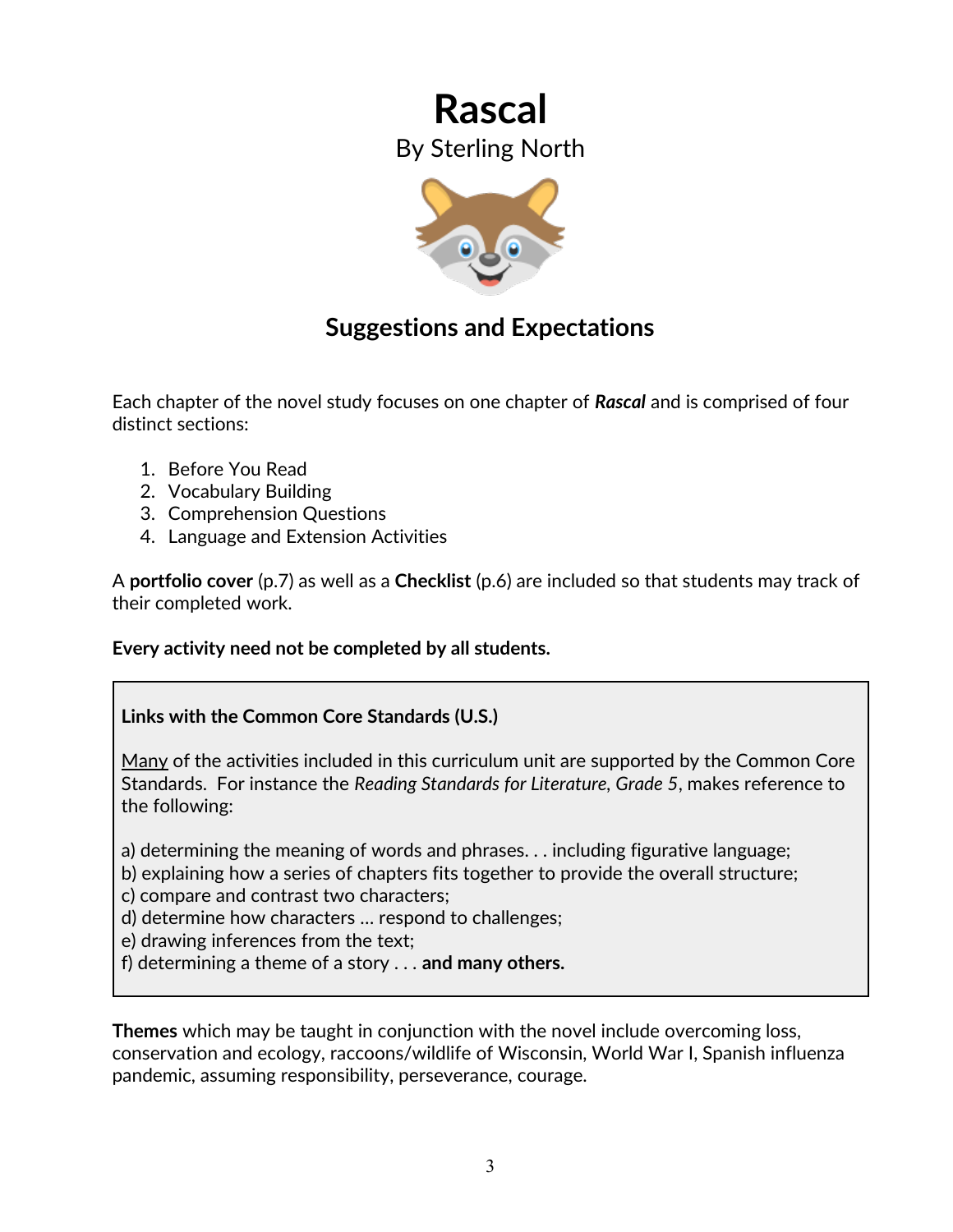

## **Suggestions and Expectations**

Each chapter of the novel study focuses on one chapter of *Rascal* and is comprised of four distinct sections:

- 1. Before You Read
- 2. Vocabulary Building
- 3. Comprehension Questions
- 4. Language and Extension Activities

A **portfolio cover** (p.7) as well as a **Checklist** (p.6) are included so that students may track of their completed work.

#### **Every activity need not be completed by all students.**

#### **Links with the Common Core Standards (U.S.)**

Many of the activities included in this curriculum unit are supported by the Common Core Standards. For instance the *Reading Standards for Literature, Grade 5*, makes reference to the following:

a) determining the meaning of words and phrases. . . including figurative language;

b) explaining how a series of chapters fits together to provide the overall structure;

c) compare and contrast two characters;

d) determine how characters … respond to challenges;

e) drawing inferences from the text;

f) determining a theme of a story . . . **and many others.**

**Themes** which may be taught in conjunction with the novel include overcoming loss, conservation and ecology, raccoons/wildlife of Wisconsin, World War I, Spanish influenza pandemic, assuming responsibility, perseverance, courage.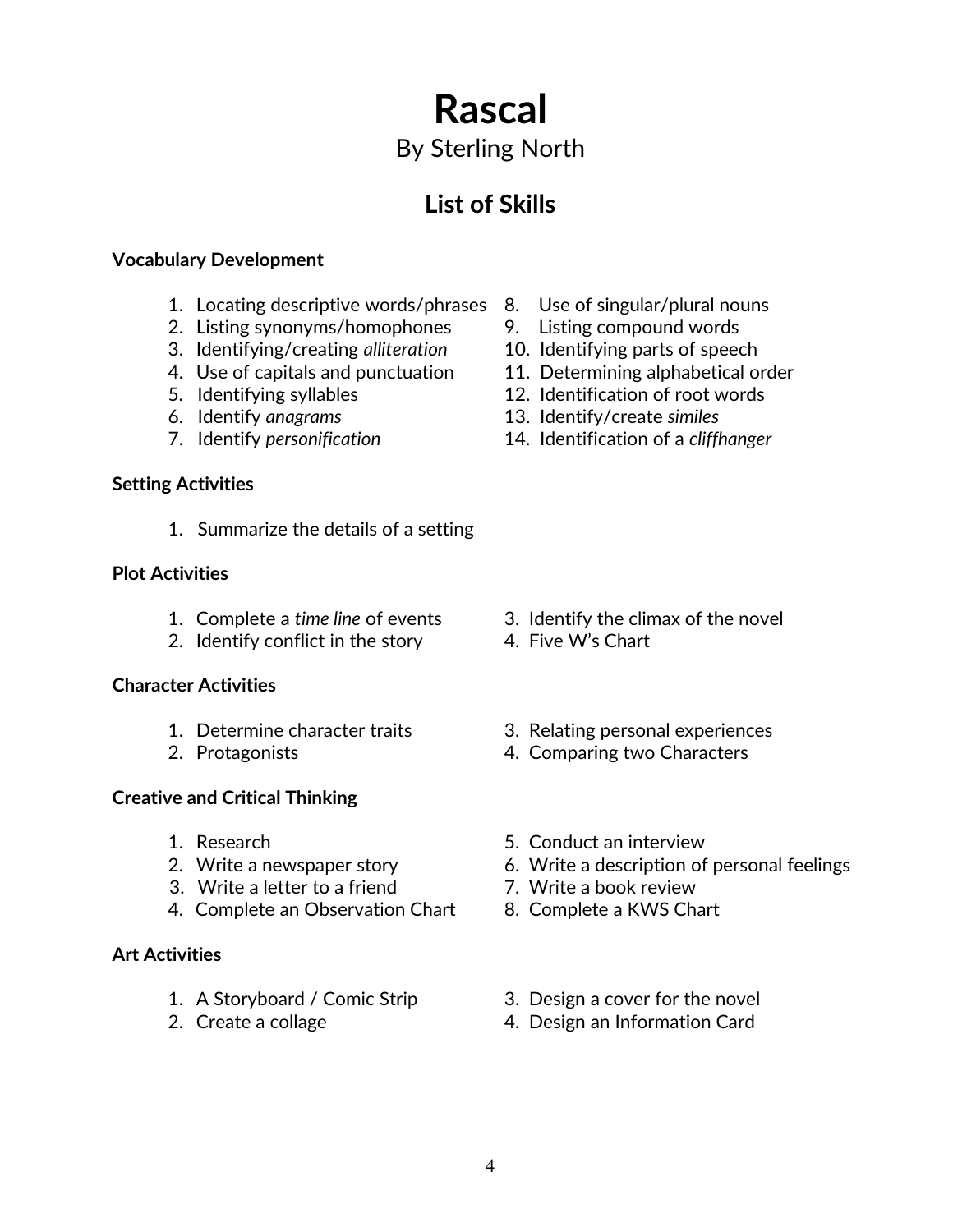## **List of Skills**

#### **Vocabulary Development**

- 1. Locating descriptive words/phrases 8. Use of singular/plural nouns
- 2. Listing synonyms/homophones 9. Listing compound words
- 3. Identifying/creating *alliteration* 10. Identifying parts of speech
- 
- 
- 
- 

#### **Setting Activities**

1. Summarize the details of a setting

#### **Plot Activities**

- 
- 2. Identify conflict in the story 4. Five W's Chart

#### **Character Activities**

- 
- 

#### **Creative and Critical Thinking**

- 
- 
- 3. Write a letter to a friend T. Write a book review
- 4. Complete an Observation Chart 8. Complete a KWS Chart

#### **Art Activities**

- 
- 
- 
- 
- 
- 4. Use of capitals and punctuation 11. Determining alphabetical order
- 5. Identifying syllables 12. Identification of root words
- 6. Identify *anagrams* 13. Identify/create *similes*
- 7. Identify *personification* 14. Identification of a *cliffhanger*

- 1. Complete a *time line* of events 3. Identify the climax of the novel
	-
- 1. Determine character traits 3. Relating personal experiences
- 2. Protagonists 4. Comparing two Characters
- 1. Research 6. Conduct an interview
- 2. Write a newspaper story 6. Write a description of personal feelings
	-
	-
- 1. A Storyboard / Comic Strip 3. Design a cover for the novel
- 2. Create a collage 2. Create a collage 4. Design an Information Card
	- 4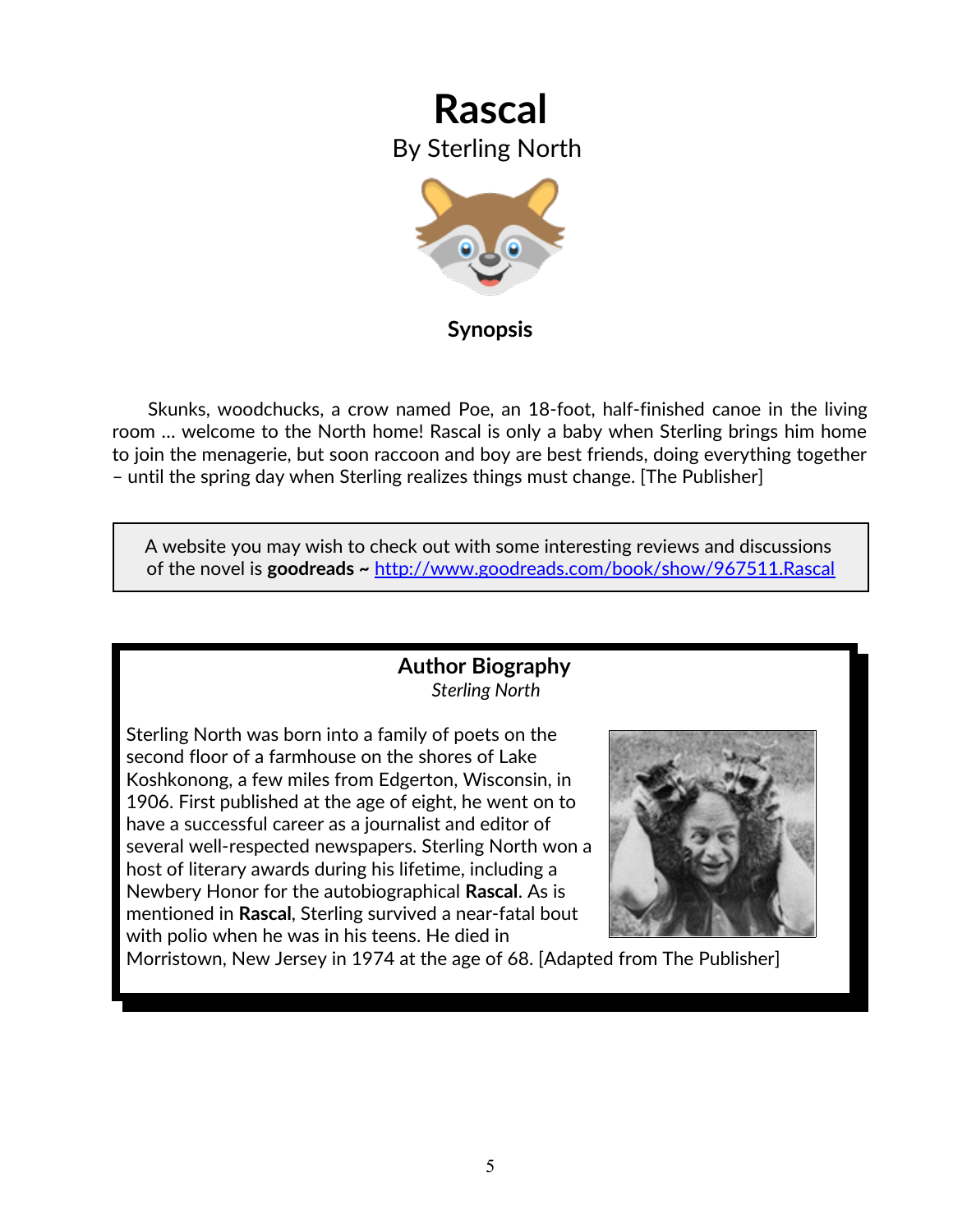

 Skunks, woodchucks, a crow named Poe, an 18-foot, half-finished canoe in the living room … welcome to the North home! Rascal is only a baby when Sterling brings him home to join the menagerie, but soon raccoon and boy are best friends, doing everything together – until the spring day when Sterling realizes things must change. [The Publisher]

A website you may wish to check out with some interesting reviews and discussions of the novel is **goodreads ~** <http://www.goodreads.com/book/show/967511.Rascal>

#### **Author Biography**  *Sterling North*

Sterling North was born into a family of poets on the second floor of a farmhouse on the shores of Lake Koshkonong, a few miles from Edgerton, Wisconsin, in 1906. First published at the age of eight, he went on to have a successful career as a journalist and editor of several well-respected newspapers. Sterling North won a host of literary awards during his lifetime, including a Newbery Honor for the autobiographical **Rascal**. As is mentioned in **Rascal**, Sterling survived a near-fatal bout with polio when he was in his teens. He died in



Morristown, New Jersey in 1974 at the age of 68. [Adapted from The Publisher]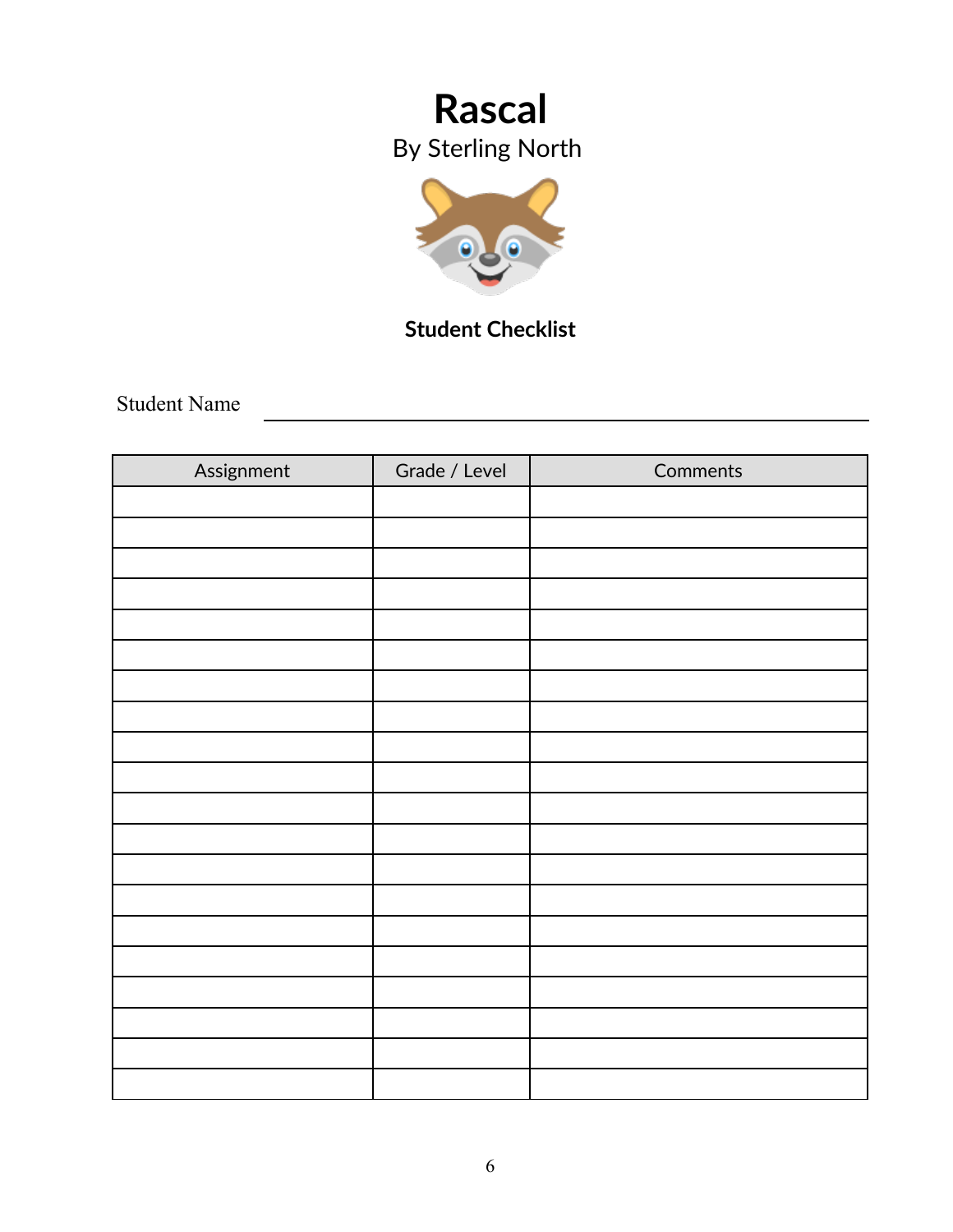

## **Student Checklist**

Student Name

| Assignment | Grade / Level | Comments |
|------------|---------------|----------|
|            |               |          |
|            |               |          |
|            |               |          |
|            |               |          |
|            |               |          |
|            |               |          |
|            |               |          |
|            |               |          |
|            |               |          |
|            |               |          |
|            |               |          |
|            |               |          |
|            |               |          |
|            |               |          |
|            |               |          |
|            |               |          |
|            |               |          |
|            |               |          |
|            |               |          |
|            |               |          |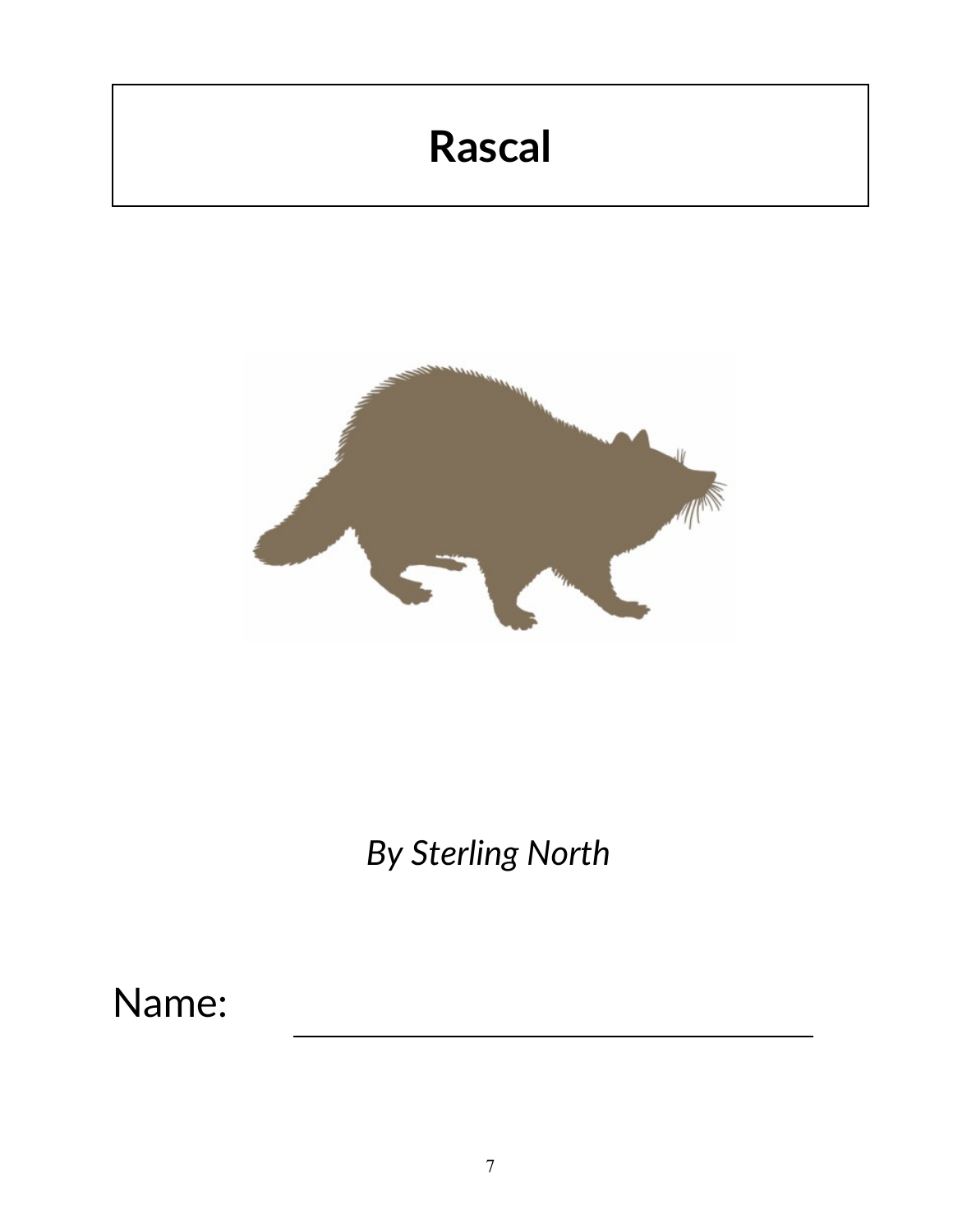# **Rascal**



*By Sterling North*

Name: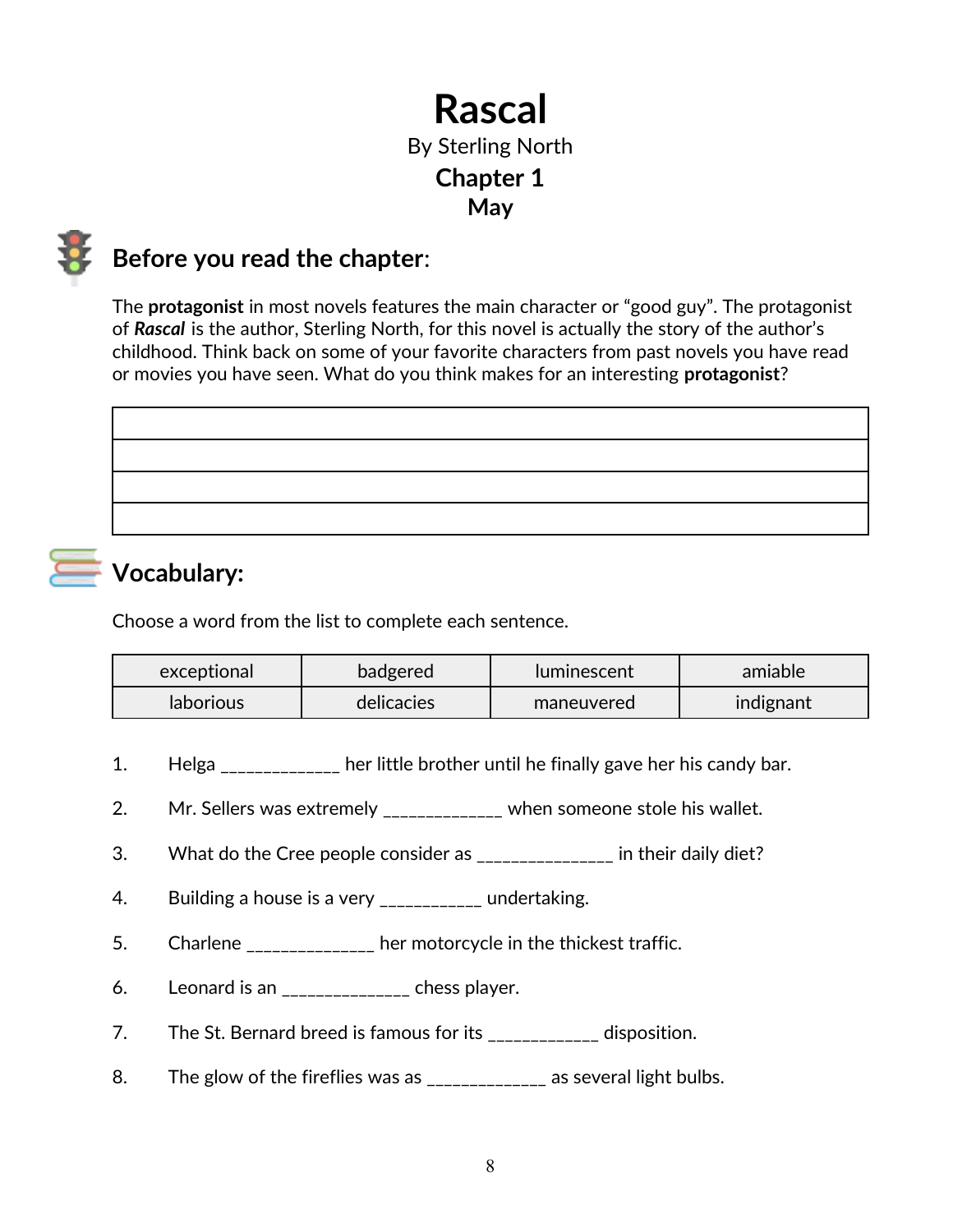## **Rascal** By Sterling North **Chapter 1 May**

## **Before you read the chapter**:

The **protagonist** in most novels features the main character or "good guy". The protagonist of *Rascal* is the author, Sterling North, for this novel is actually the story of the author's childhood. Think back on some of your favorite characters from past novels you have read or movies you have seen. What do you think makes for an interesting **protagonist**?

# **Vocabulary:**

Choose a word from the list to complete each sentence.

| exceptional | badgered   | <b>Iuminescent</b> | amiable   |
|-------------|------------|--------------------|-----------|
| laborious   | delicacies | maneuvered         | indignant |

- 1. Helga \_\_\_\_\_\_\_\_\_\_\_\_\_\_ her little brother until he finally gave her his candy bar.
- 2. Mr. Sellers was extremely \_\_\_\_\_\_\_\_\_\_\_\_\_ when someone stole his wallet.
- 3. What do the Cree people consider as \_\_\_\_\_\_\_\_\_\_\_\_\_\_\_ in their daily diet?
- 4. Building a house is a very \_\_\_\_\_\_\_\_\_\_\_\_ undertaking.
- 5. Charlene \_\_\_\_\_\_\_\_\_\_\_\_\_ her motorcycle in the thickest traffic.
- 6. Leonard is an \_\_\_\_\_\_\_\_\_\_\_\_\_\_\_ chess player.
- 7. The St. Bernard breed is famous for its \_\_\_\_\_\_\_\_\_\_\_\_\_ disposition.
- 8. The glow of the fireflies was as \_\_\_\_\_\_\_\_\_\_\_\_\_ as several light bulbs.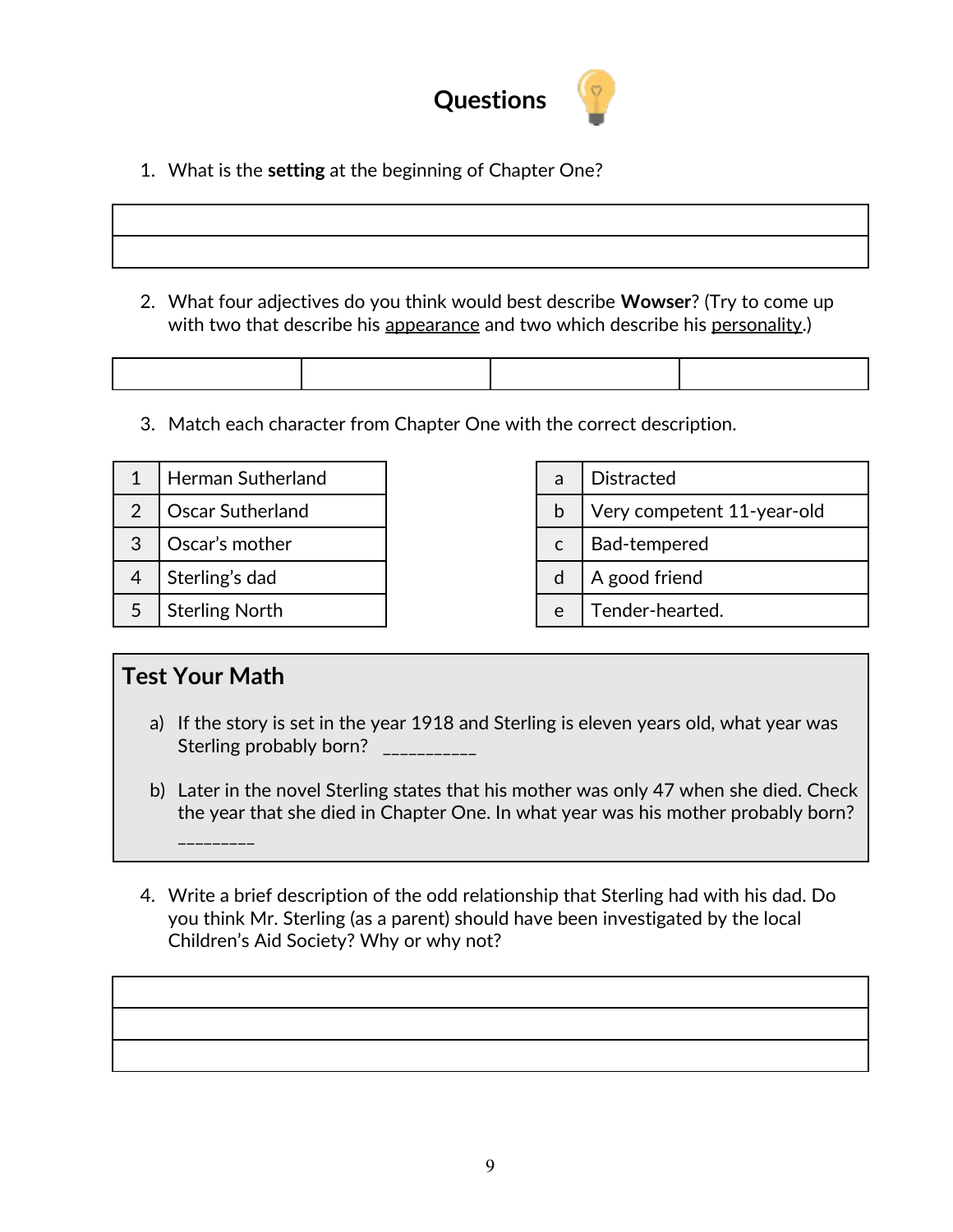

1. What is the **setting** at the beginning of Chapter One?

2. What four adjectives do you think would best describe **Wowser**? (Try to come up with two that describe his appearance and two which describe his personality.)

3. Match each character from Chapter One with the correct description.

| Herman Sutherland       | a | <b>Distracted</b>          |
|-------------------------|---|----------------------------|
| <b>Oscar Sutherland</b> | b | Very competent 11-year-old |
| Oscar's mother          |   | Bad-tempered               |
| Sterling's dad          | d | A good friend              |
| <b>Sterling North</b>   | e | Tender-hearted.            |

### **Test Your Math**

- a) If the story is set in the year 1918 and Sterling is eleven years old, what year was Sterling probably born? \_\_\_\_\_\_\_\_\_\_
- b) Later in the novel Sterling states that his mother was only 47 when she died. Check the year that she died in Chapter One. In what year was his mother probably born? \_\_\_\_\_\_\_\_\_
- 4. Write a brief description of the odd relationship that Sterling had with his dad. Do you think Mr. Sterling (as a parent) should have been investigated by the local Children's Aid Society? Why or why not?

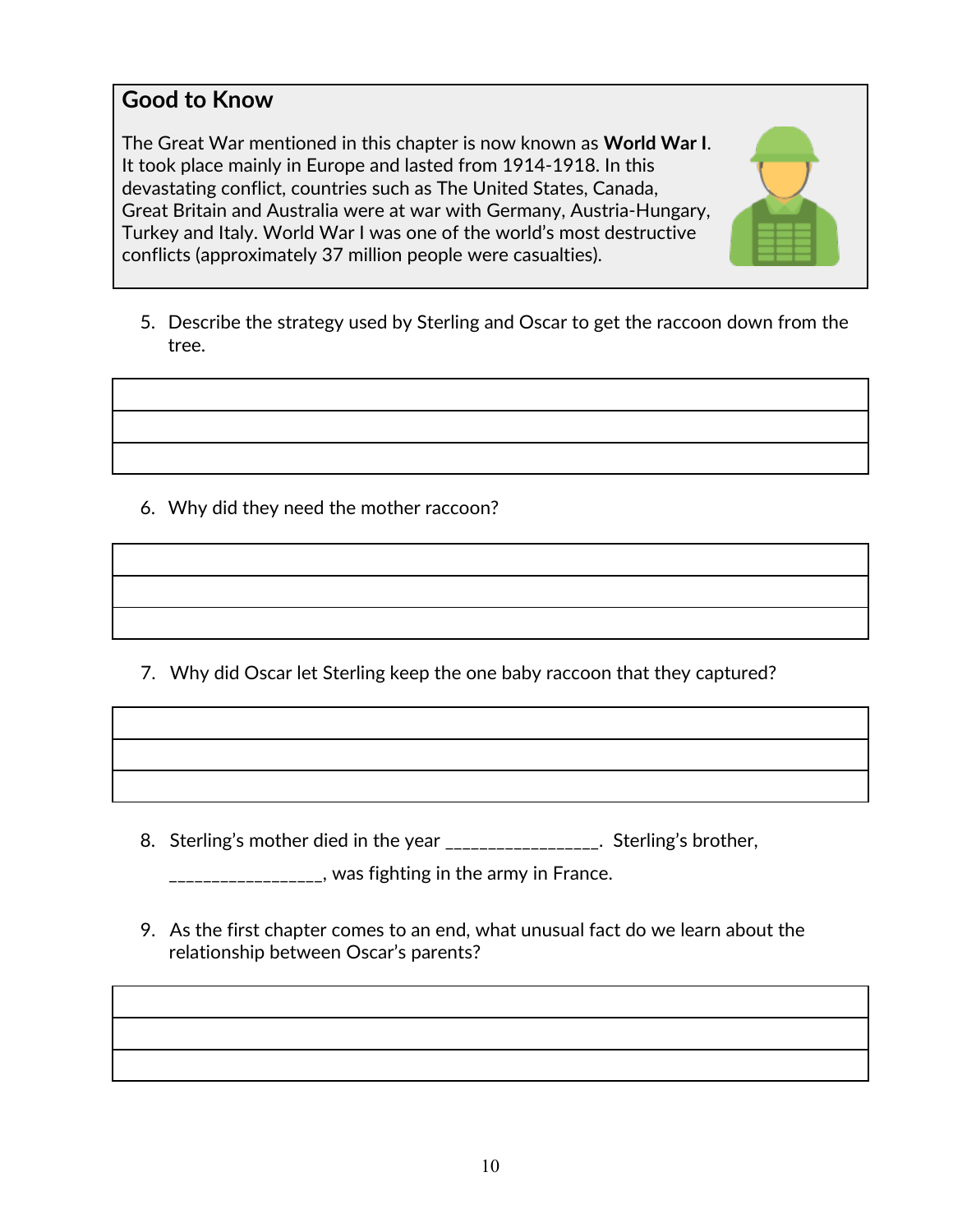#### **Good to Know**

The Great War mentioned in this chapter is now known as **World War I**. It took place mainly in Europe and lasted from 1914-1918. In this devastating conflict, countries such as The United States, Canada, Great Britain and Australia were at war with Germany, Austria-Hungary, Turkey and Italy. World War I was one of the world's most destructive conflicts (approximately 37 million people were casualties).

5. Describe the strategy used by Sterling and Oscar to get the raccoon down from the tree.

6. Why did they need the mother raccoon?

7. Why did Oscar let Sterling keep the one baby raccoon that they captured?

8. Sterling's mother died in the year \_\_\_\_\_\_\_\_\_\_\_\_\_\_\_\_\_. Sterling's brother,

\_\_\_\_\_\_\_\_\_\_\_\_\_, was fighting in the army in France.

 9. As the first chapter comes to an end, what unusual fact do we learn about the relationship between Oscar's parents?

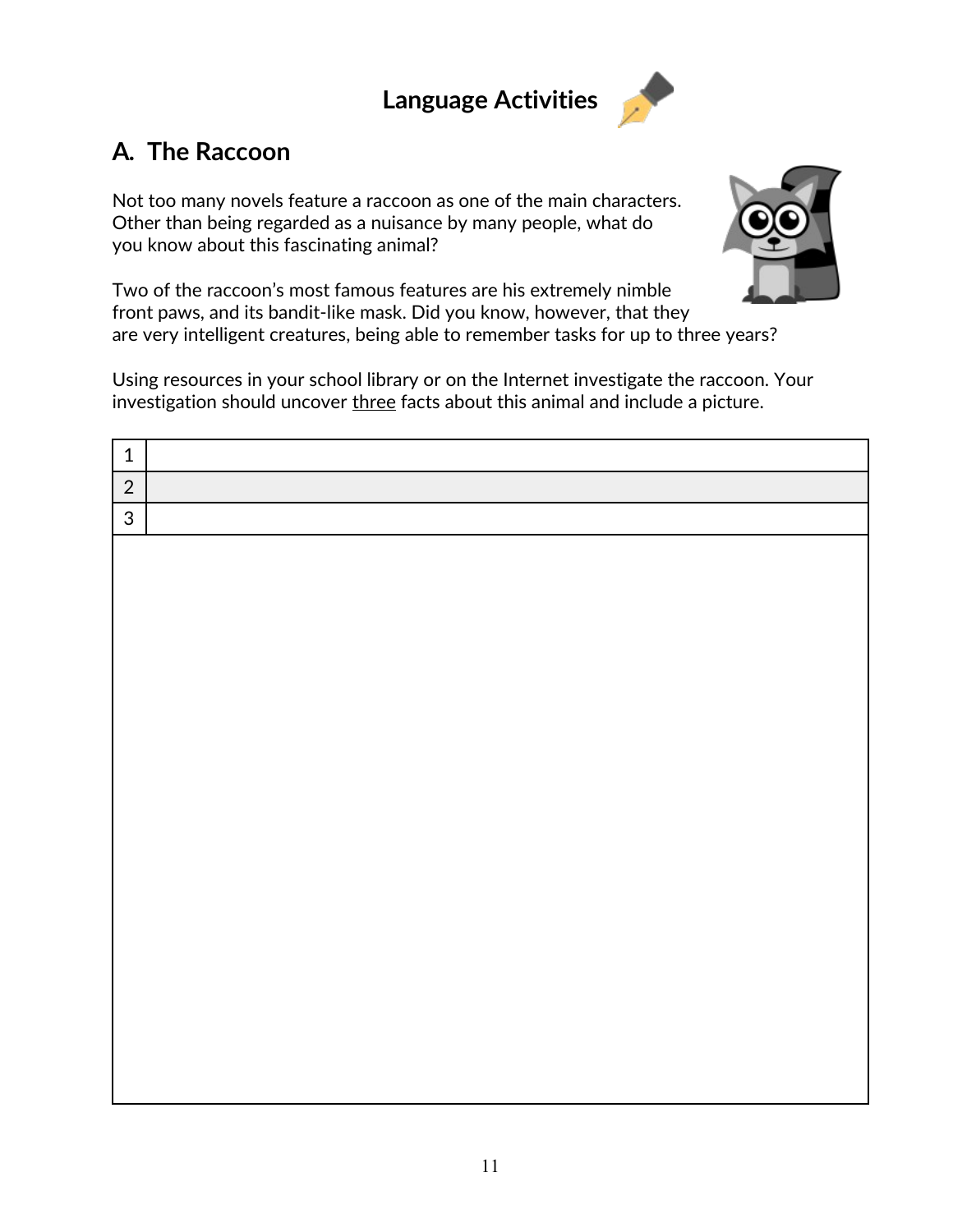# **Language Activities**



## **A***.* **The Raccoon**

Not too many novels feature a raccoon as one of the main characters. Other than being regarded as a nuisance by many people, what do you know about this fascinating animal?



Two of the raccoon's most famous features are his extremely nimble front paws, and its bandit-like mask. Did you know, however, that they are very intelligent creatures, being able to remember tasks for up to three years?

Using resources in your school library or on the Internet investigate the raccoon. Your investigation should uncover three facts about this animal and include a picture.

| $\sim$ |  |
|--------|--|
| ⌒      |  |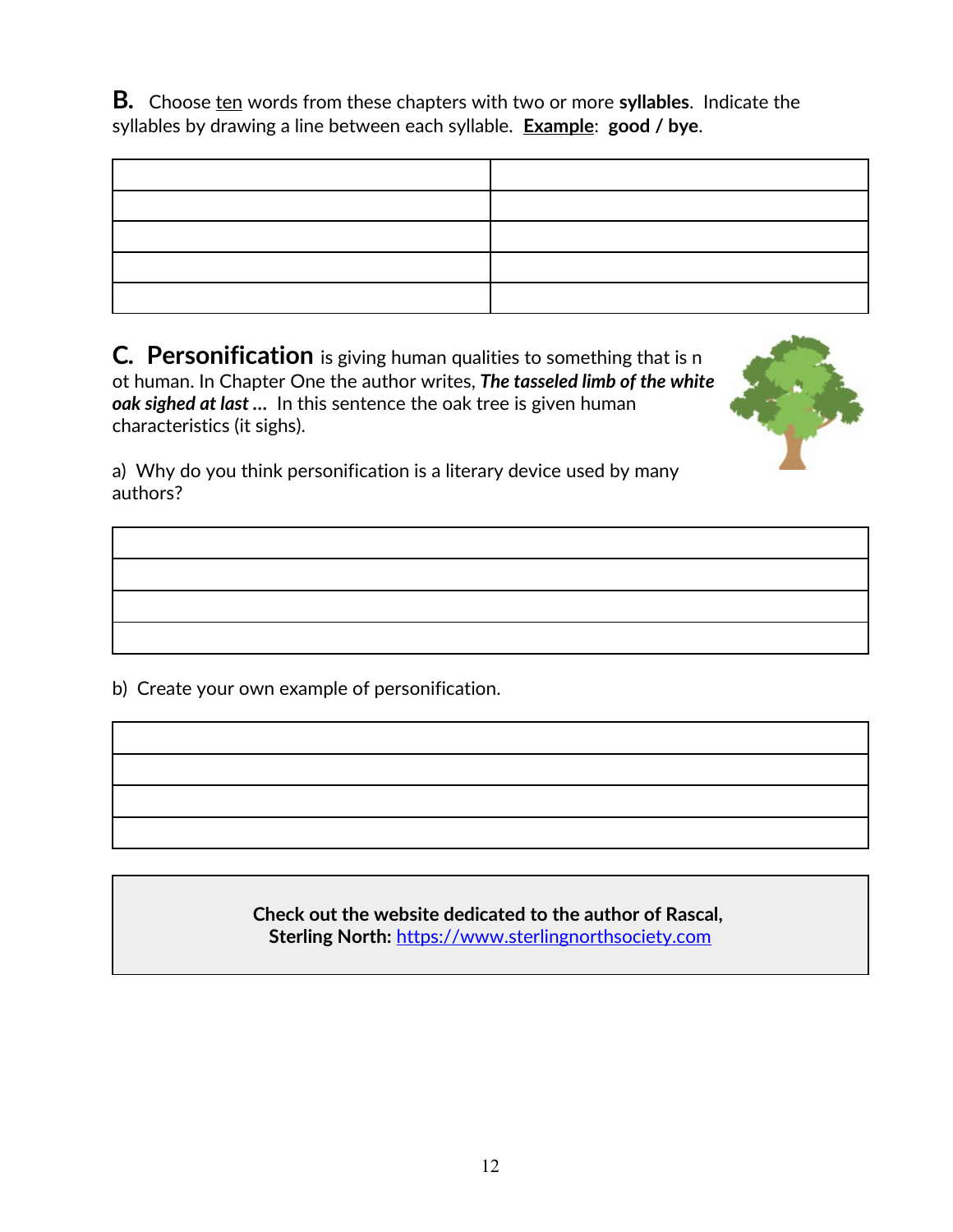**B***.* Choose ten words from these chapters with two or more **syllables**. Indicate the syllables by drawing a line between each syllable. **Example**: **good / bye**.

**C***.* **Personification** is giving human qualities to something that is n ot human. In Chapter One the author writes, *The tasseled limb of the white oak sighed at last …* In this sentence the oak tree is given human characteristics (it sighs).



a) Why do you think personification is a literary device used by many authors?

b) Create your own example of personification.

**Check out the website dedicated to the author of Rascal, Sterling North:** [https://www.sterlingnorthsociety.com](https://www.sterlingnorthsociety.com/)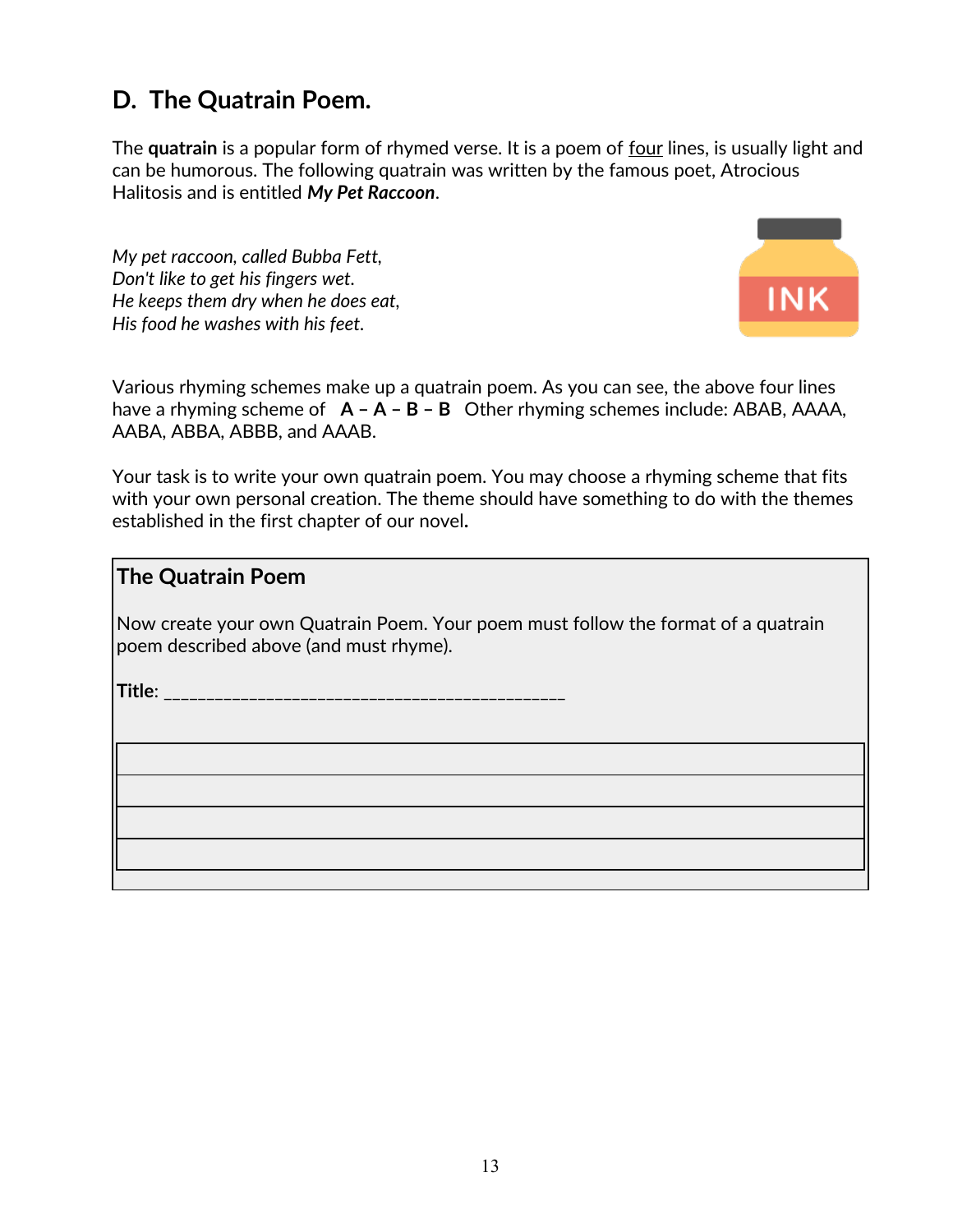## **D. The Quatrain Poem.**

The **quatrain** is a popular form of rhymed verse. It is a poem of four lines, is usually light and can be humorous. The following quatrain was written by the famous poet, Atrocious Halitosis and is entitled *My Pet Raccoon*.

*My pet raccoon, called Bubba Fett, Don't like to get his fingers wet. He keeps them dry when he does eat, His food he washes with his feet.*



Various rhyming schemes make up a quatrain poem. As you can see, the above four lines have a rhyming scheme of **A – A – B – B** Other rhyming schemes include: ABAB, AAAA, AABA, ABBA, ABBB, and AAAB.

Your task is to write your own quatrain poem. You may choose a rhyming scheme that fits with your own personal creation. The theme should have something to do with the themes established in the first chapter of our novel*.*

#### **The Quatrain Poem**

Now create your own Quatrain Poem. Your poem must follow the format of a quatrain poem described above (and must rhyme).

**Title**: \_\_\_\_\_\_\_\_\_\_\_\_\_\_\_\_\_\_\_\_\_\_\_\_\_\_\_\_\_\_\_\_\_\_\_\_\_\_\_\_\_\_\_\_\_\_\_